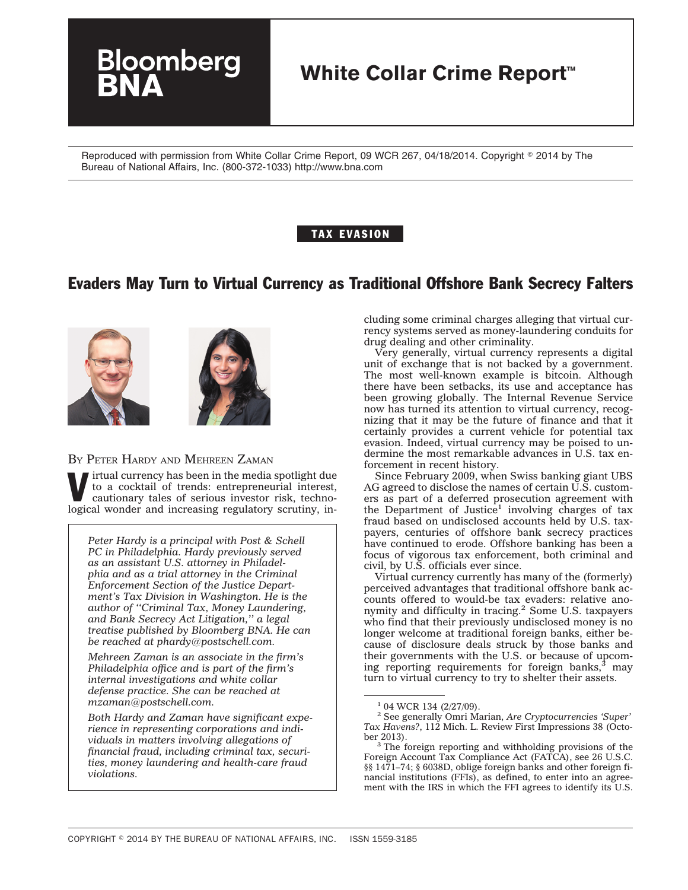# **White Collar Crime Report™**

Reproduced with permission from White Collar Crime Report, 09 WCR 267, 04/18/2014. Copyright © 2014 by The Bureau of National Affairs, Inc. (800-372-1033) http://www.bna.com

#### TAX EVASION

## Evaders May Turn to Virtual Currency as Traditional Offshore Bank Secrecy Falters





#### BY PETER HARDY AND MEHREEN ZAMAN

loomberg

irtual currency has been in the media spotlight due to a cocktail of trends: entrepreneurial interest, cautionary tales of serious investor risk, technological wonder and increasing regulatory scrutiny, in-

*Peter Hardy is a principal with Post & Schell PC in Philadelphia. Hardy previously served as an assistant U.S. attorney in Philadelphia and as a trial attorney in the Criminal Enforcement Section of the Justice Department's Tax Division in Washington. He is the author of ''Criminal Tax, Money Laundering, and Bank Secrecy Act Litigation,'' a legal treatise published by Bloomberg BNA. He can be reached at phardy@postschell.com.*

*Mehreen Zaman is an associate in the firm's Philadelphia office and is part of the firm's internal investigations and white collar defense practice. She can be reached at mzaman@postschell.com.*

*Both Hardy and Zaman have significant experience in representing corporations and individuals in matters involving allegations of financial fraud, including criminal tax, securities, money laundering and health-care fraud violations.*

cluding some criminal charges alleging that virtual currency systems served as money-laundering conduits for drug dealing and other criminality.

Very generally, virtual currency represents a digital unit of exchange that is not backed by a government. The most well-known example is bitcoin. Although there have been setbacks, its use and acceptance has been growing globally. The Internal Revenue Service now has turned its attention to virtual currency, recognizing that it may be the future of finance and that it certainly provides a current vehicle for potential tax evasion. Indeed, virtual currency may be poised to undermine the most remarkable advances in U.S. tax enforcement in recent history.

Since February 2009, when Swiss banking giant UBS AG agreed to disclose the names of certain U.S. customers as part of a deferred prosecution agreement with the Department of Justice<sup>1</sup> involving charges of tax fraud based on undisclosed accounts held by U.S. taxpayers, centuries of offshore bank secrecy practices have continued to erode. Offshore banking has been a focus of vigorous tax enforcement, both criminal and civil, by U.S. officials ever since.

Virtual currency currently has many of the (formerly) perceived advantages that traditional offshore bank accounts offered to would-be tax evaders: relative ano-nymity and difficulty in tracing.2 Some U.S. taxpayers who find that their previously undisclosed money is no longer welcome at traditional foreign banks, either because of disclosure deals struck by those banks and their governments with the U.S. or because of upcoming reporting requirements for foreign banks, $3 \text{ may}$ turn to virtual currency to try to shelter their assets.

<sup>&</sup>lt;sup>1</sup> 04 WCR 134 (2/27/09).

<sup>2</sup> See generally Omri Marian, *Are Cryptocurrencies 'Super' Tax Havens?*, 112 Mich. L. Review First Impressions 38 (Octo-

<sup>&</sup>lt;sup>3</sup> The foreign reporting and withholding provisions of the Foreign Account Tax Compliance Act (FATCA), see 26 U.S.C. §§ 1471–74; § 6038D, oblige foreign banks and other foreign financial institutions (FFIs), as defined, to enter into an agreement with the IRS in which the FFI agrees to identify its U.S.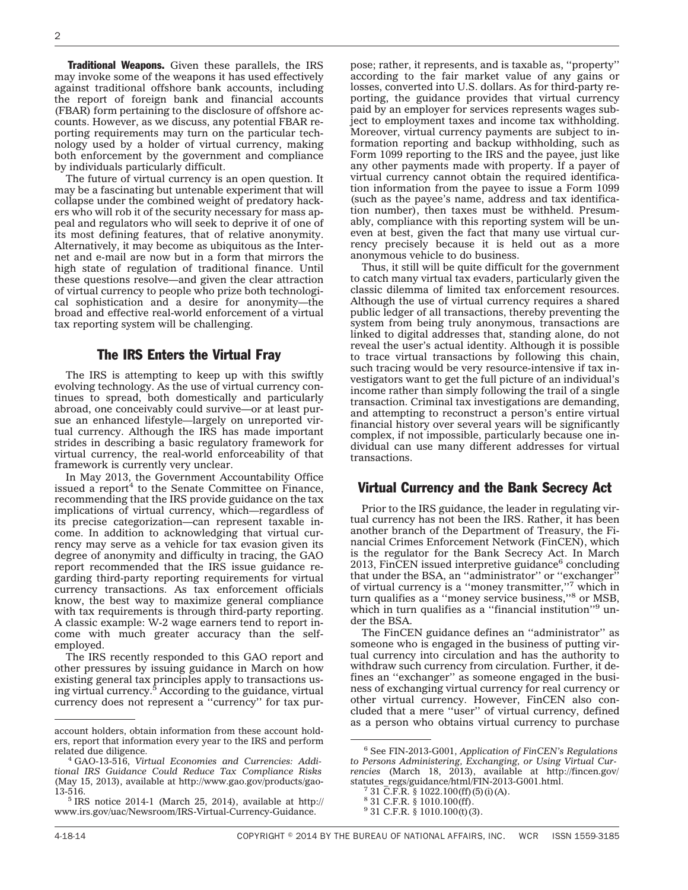**Traditional Weapons.** Given these parallels, the IRS may invoke some of the weapons it has used effectively against traditional offshore bank accounts, including the report of foreign bank and financial accounts (FBAR) form pertaining to the disclosure of offshore accounts. However, as we discuss, any potential FBAR reporting requirements may turn on the particular technology used by a holder of virtual currency, making both enforcement by the government and compliance by individuals particularly difficult.

The future of virtual currency is an open question. It may be a fascinating but untenable experiment that will collapse under the combined weight of predatory hackers who will rob it of the security necessary for mass appeal and regulators who will seek to deprive it of one of its most defining features, that of relative anonymity. Alternatively, it may become as ubiquitous as the Internet and e-mail are now but in a form that mirrors the high state of regulation of traditional finance. Until these questions resolve—and given the clear attraction of virtual currency to people who prize both technological sophistication and a desire for anonymity—the broad and effective real-world enforcement of a virtual tax reporting system will be challenging.

#### The IRS Enters the Virtual Fray

The IRS is attempting to keep up with this swiftly evolving technology. As the use of virtual currency continues to spread, both domestically and particularly abroad, one conceivably could survive—or at least pursue an enhanced lifestyle—largely on unreported virtual currency. Although the IRS has made important strides in describing a basic regulatory framework for virtual currency, the real-world enforceability of that framework is currently very unclear.

In May 2013, the Government Accountability Office issued a report $4$  to the Senate Committee on Finance, recommending that the IRS provide guidance on the tax implications of virtual currency, which—regardless of its precise categorization—can represent taxable income. In addition to acknowledging that virtual currency may serve as a vehicle for tax evasion given its degree of anonymity and difficulty in tracing, the GAO report recommended that the IRS issue guidance regarding third-party reporting requirements for virtual currency transactions. As tax enforcement officials know, the best way to maximize general compliance with tax requirements is through third-party reporting. A classic example: W-2 wage earners tend to report income with much greater accuracy than the selfemployed.

The IRS recently responded to this GAO report and other pressures by issuing guidance in March on how existing general tax principles apply to transactions using virtual currency.5 According to the guidance, virtual currency does not represent a ''currency'' for tax purpose; rather, it represents, and is taxable as, ''property'' according to the fair market value of any gains or losses, converted into U.S. dollars. As for third-party reporting, the guidance provides that virtual currency paid by an employer for services represents wages subject to employment taxes and income tax withholding. Moreover, virtual currency payments are subject to information reporting and backup withholding, such as Form 1099 reporting to the IRS and the payee, just like any other payments made with property. If a payer of virtual currency cannot obtain the required identification information from the payee to issue a Form 1099 (such as the payee's name, address and tax identification number), then taxes must be withheld. Presumably, compliance with this reporting system will be uneven at best, given the fact that many use virtual currency precisely because it is held out as a more anonymous vehicle to do business.

Thus, it still will be quite difficult for the government to catch many virtual tax evaders, particularly given the classic dilemma of limited tax enforcement resources. Although the use of virtual currency requires a shared public ledger of all transactions, thereby preventing the system from being truly anonymous, transactions are linked to digital addresses that, standing alone, do not reveal the user's actual identity. Although it is possible to trace virtual transactions by following this chain, such tracing would be very resource-intensive if tax investigators want to get the full picture of an individual's income rather than simply following the trail of a single transaction. Criminal tax investigations are demanding, and attempting to reconstruct a person's entire virtual financial history over several years will be significantly complex, if not impossible, particularly because one individual can use many different addresses for virtual transactions.

#### Virtual Currency and the Bank Secrecy Act

Prior to the IRS guidance, the leader in regulating virtual currency has not been the IRS. Rather, it has been another branch of the Department of Treasury, the Financial Crimes Enforcement Network (FinCEN), which is the regulator for the Bank Secrecy Act. In March 2013, FinCEN issued interpretive guidance $6$  concluding that under the BSA, an ''administrator'' or ''exchanger'' of virtual currency is a "money transmitter,"<sup>7</sup> which in turn qualifies as a ''money service business,''8 or MSB, which in turn qualifies as a "financial institution"<sup>9</sup> under the BSA

The FinCEN guidance defines an ''administrator'' as someone who is engaged in the business of putting virtual currency into circulation and has the authority to withdraw such currency from circulation. Further, it defines an ''exchanger'' as someone engaged in the business of exchanging virtual currency for real currency or other virtual currency. However, FinCEN also concluded that a mere "user" of virtual currency, defined as a person who obtains virtual currency to purchase

account holders, obtain information from these account holders, report that information every year to the IRS and perform

related due diligence. <sup>4</sup> GAO-13-516, *Virtual Economies and Currencies: Additional IRS Guidance Could Reduce Tax Compliance Risks* (May 15, 2013), available at [http://www.gao.gov/products/gao-](http://www.gao.gov/products/gao-13-516)

 $5$  IRS notice 2014-1 (March 25, 2014), available at [http://](http://www.irs.gov/uac/Newsroom/IRS-Virtual-Currency-Guidance) [www.irs.gov/uac/Newsroom/IRS-Virtual-Currency-Guidance.](http://www.irs.gov/uac/Newsroom/IRS-Virtual-Currency-Guidance)

<sup>6</sup> See FIN-2013-G001, *Application of FinCEN's Regulations to Persons Administering, Exchanging, or Using Virtual Currencies* (March 18, 2013), available at [http://fincen.gov/](http://fincen.gov/statutes_regs/guidance/html/FIN-2013-G001.html) [statutes\\_regs/guidance/html/FIN-2013-G001.html.](http://fincen.gov/statutes_regs/guidance/html/FIN-2013-G001.html) <sup>7</sup> 31 C.F.R. § 1022.100(ff)(5)(i)(A).

<sup>8</sup> 31 C.F.R. § 1010.100(ff).

 $9$  31 C.F.R. § 1010.100(t)(3).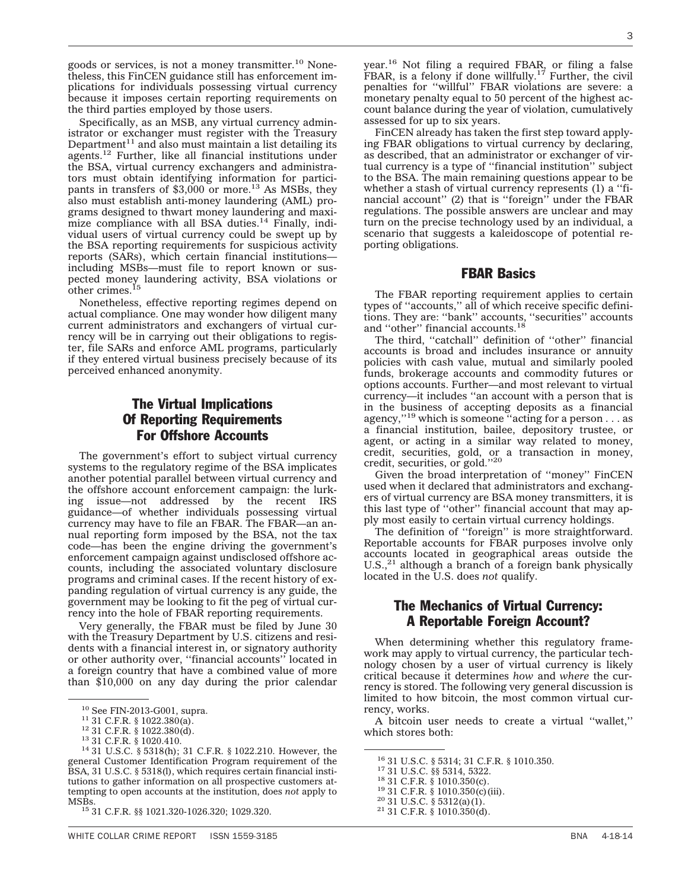goods or services, is not a money transmitter.<sup>10</sup> Nonetheless, this FinCEN guidance still has enforcement implications for individuals possessing virtual currency because it imposes certain reporting requirements on the third parties employed by those users.

Specifically, as an MSB, any virtual currency administrator or exchanger must register with the Treasury Department $11$  and also must maintain a list detailing its agents.12 Further, like all financial institutions under the BSA, virtual currency exchangers and administrators must obtain identifying information for participants in transfers of  $$3,000$  or more.<sup>13</sup> As MSBs, they also must establish anti-money laundering (AML) programs designed to thwart money laundering and maximize compliance with all BSA duties. $14$  Finally, individual users of virtual currency could be swept up by the BSA reporting requirements for suspicious activity reports (SARs), which certain financial institutions including MSBs—must file to report known or suspected money laundering activity, BSA violations or other crimes.<sup>15</sup>

Nonetheless, effective reporting regimes depend on actual compliance. One may wonder how diligent many current administrators and exchangers of virtual currency will be in carrying out their obligations to register, file SARs and enforce AML programs, particularly if they entered virtual business precisely because of its perceived enhanced anonymity.

## The Virtual Implications Of Reporting Requirements For Offshore Accounts

The government's effort to subject virtual currency systems to the regulatory regime of the BSA implicates another potential parallel between virtual currency and the offshore account enforcement campaign: the lurking issue—not addressed by the recent IRS guidance—of whether individuals possessing virtual currency may have to file an FBAR. The FBAR—an annual reporting form imposed by the BSA, not the tax code—has been the engine driving the government's enforcement campaign against undisclosed offshore accounts, including the associated voluntary disclosure programs and criminal cases. If the recent history of expanding regulation of virtual currency is any guide, the government may be looking to fit the peg of virtual currency into the hole of FBAR reporting requirements.

Very generally, the FBAR must be filed by June 30 with the Treasury Department by U.S. citizens and residents with a financial interest in, or signatory authority or other authority over, ''financial accounts'' located in a foreign country that have a combined value of more than \$10,000 on any day during the prior calendar

year.16 Not filing a required FBAR, or filing a false FBAR, is a felony if done willfully.<sup>17</sup> Further, the civil penalties for ''willful'' FBAR violations are severe: a monetary penalty equal to 50 percent of the highest account balance during the year of violation, cumulatively assessed for up to six years.

FinCEN already has taken the first step toward applying FBAR obligations to virtual currency by declaring, as described, that an administrator or exchanger of virtual currency is a type of ''financial institution'' subject to the BSA. The main remaining questions appear to be whether a stash of virtual currency represents (1) a ''financial account" (2) that is "foreign" under the FBAR regulations. The possible answers are unclear and may turn on the precise technology used by an individual, a scenario that suggests a kaleidoscope of potential reporting obligations.

#### FBAR Basics

The FBAR reporting requirement applies to certain types of ''accounts,'' all of which receive specific definitions. They are: ''bank'' accounts, ''securities'' accounts and "other" financial accounts.<sup>18</sup>

The third, "catchall" definition of "other" financial accounts is broad and includes insurance or annuity policies with cash value, mutual and similarly pooled funds, brokerage accounts and commodity futures or options accounts. Further—and most relevant to virtual currency—it includes ''an account with a person that is in the business of accepting deposits as a financial agency,"<sup>19</sup> which is someone "acting for a person  $\dots$  as a financial institution, bailee, depository trustee, or agent, or acting in a similar way related to money, credit, securities, gold, or a transaction in money, credit, securities, or gold.''20

Given the broad interpretation of ''money'' FinCEN used when it declared that administrators and exchangers of virtual currency are BSA money transmitters, it is this last type of ''other'' financial account that may apply most easily to certain virtual currency holdings.

The definition of ''foreign'' is more straightforward. Reportable accounts for FBAR purposes involve only accounts located in geographical areas outside the U.S.,<sup>21</sup> although a branch of a foreign bank physically located in the U.S. does *not* qualify.

### The Mechanics of Virtual Currency: A Reportable Foreign Account?

When determining whether this regulatory framework may apply to virtual currency, the particular technology chosen by a user of virtual currency is likely critical because it determines *how* and *where* the currency is stored. The following very general discussion is limited to how bitcoin, the most common virtual currency, works.

A bitcoin user needs to create a virtual ''wallet,'' which stores both:

<sup>&</sup>lt;sup>10</sup> See FIN-2013-G001, supra.<br><sup>11</sup> 31 C.F.R. § 1022.380(a).<br><sup>12</sup> 31 C.F.R. § 1022.380(d).<br><sup>13</sup> 31 C.F.R. § 1020.410.<br><sup>14</sup> 31 U.S.C. § 5318(h); 31 C.F.R. § 1022.210. However, the general Customer Identification Program requirement of the BSA, 31 U.S.C. § 5318(l), which requires certain financial institutions to gather information on all prospective customers attempting to open accounts at the institution, does *not* apply to

<sup>15 31</sup> C.F.R. §§ 1021.320-1026.320; 1029.320.

<sup>&</sup>lt;sup>16</sup> 31 U.S.C. § 5314; 31 C.F.R. § 1010.350.<br><sup>17</sup> 31 U.S.C. §§ 5314, 5322.<br><sup>18</sup> 31 C.F.R. § 1010.350(c).<br><sup>19</sup> 31 C.F.R. § 1010.350(c)(iii).<br><sup>20</sup> 31 U.S.C. § 5312(a)(1).<br><sup>21</sup> 31 C.F.R. § 1010.350(d).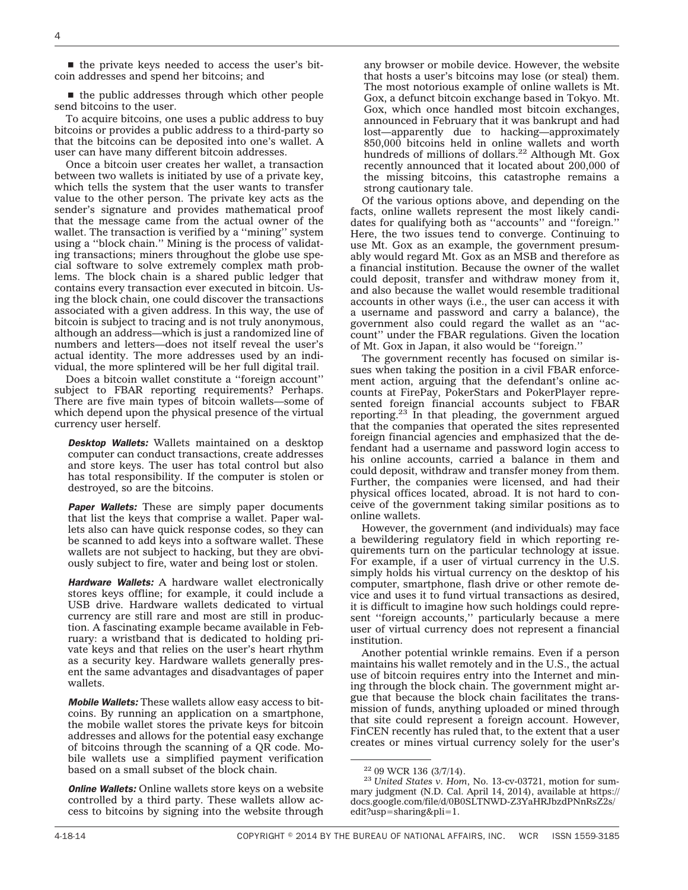$\blacksquare$  the private keys needed to access the user's bitcoin addresses and spend her bitcoins; and

 $\blacksquare$  the public addresses through which other people send bitcoins to the user.

To acquire bitcoins, one uses a public address to buy bitcoins or provides a public address to a third-party so that the bitcoins can be deposited into one's wallet. A user can have many different bitcoin addresses.

Once a bitcoin user creates her wallet, a transaction between two wallets is initiated by use of a private key, which tells the system that the user wants to transfer value to the other person. The private key acts as the sender's signature and provides mathematical proof that the message came from the actual owner of the wallet. The transaction is verified by a ''mining'' system using a ''block chain.'' Mining is the process of validating transactions; miners throughout the globe use special software to solve extremely complex math problems. The block chain is a shared public ledger that contains every transaction ever executed in bitcoin. Using the block chain, one could discover the transactions associated with a given address. In this way, the use of bitcoin is subject to tracing and is not truly anonymous, although an address—which is just a randomized line of numbers and letters—does not itself reveal the user's actual identity. The more addresses used by an individual, the more splintered will be her full digital trail.

Does a bitcoin wallet constitute a ''foreign account'' subject to FBAR reporting requirements? Perhaps. There are five main types of bitcoin wallets—some of which depend upon the physical presence of the virtual currency user herself.

*Desktop Wallets:* Wallets maintained on a desktop computer can conduct transactions, create addresses and store keys. The user has total control but also has total responsibility. If the computer is stolen or destroyed, so are the bitcoins.

*Paper Wallets:* These are simply paper documents that list the keys that comprise a wallet. Paper wallets also can have quick response codes, so they can be scanned to add keys into a software wallet. These wallets are not subject to hacking, but they are obviously subject to fire, water and being lost or stolen.

*Hardware Wallets:* A hardware wallet electronically stores keys offline; for example, it could include a USB drive. Hardware wallets dedicated to virtual currency are still rare and most are still in production. A fascinating example became available in February: a wristband that is dedicated to holding private keys and that relies on the user's heart rhythm as a security key. Hardware wallets generally present the same advantages and disadvantages of paper wallets.

*Mobile Wallets:* These wallets allow easy access to bitcoins. By running an application on a smartphone, the mobile wallet stores the private keys for bitcoin addresses and allows for the potential easy exchange of bitcoins through the scanning of a QR code. Mobile wallets use a simplified payment verification based on a small subset of the block chain.

*Online Wallets:* Online wallets store keys on a website controlled by a third party. These wallets allow access to bitcoins by signing into the website through

any browser or mobile device. However, the website that hosts a user's bitcoins may lose (or steal) them. The most notorious example of online wallets is Mt. Gox, a defunct bitcoin exchange based in Tokyo. Mt. Gox, which once handled most bitcoin exchanges, announced in February that it was bankrupt and had lost—apparently due to hacking—approximately 850,000 bitcoins held in online wallets and worth hundreds of millions of dollars.<sup>22</sup> Although Mt. Gox recently announced that it located about 200,000 of the missing bitcoins, this catastrophe remains a strong cautionary tale.

Of the various options above, and depending on the facts, online wallets represent the most likely candidates for qualifying both as ''accounts'' and ''foreign.'' Here, the two issues tend to converge. Continuing to use Mt. Gox as an example, the government presumably would regard Mt. Gox as an MSB and therefore as a financial institution. Because the owner of the wallet could deposit, transfer and withdraw money from it, and also because the wallet would resemble traditional accounts in other ways (i.e., the user can access it with a username and password and carry a balance), the government also could regard the wallet as an ''account'' under the FBAR regulations. Given the location of Mt. Gox in Japan, it also would be ''foreign.''

The government recently has focused on similar issues when taking the position in a civil FBAR enforcement action, arguing that the defendant's online accounts at FirePay, PokerStars and PokerPlayer represented foreign financial accounts subject to FBAR reporting.23 In that pleading, the government argued that the companies that operated the sites represented foreign financial agencies and emphasized that the defendant had a username and password login access to his online accounts, carried a balance in them and could deposit, withdraw and transfer money from them. Further, the companies were licensed, and had their physical offices located, abroad. It is not hard to conceive of the government taking similar positions as to online wallets.

However, the government (and individuals) may face a bewildering regulatory field in which reporting requirements turn on the particular technology at issue. For example, if a user of virtual currency in the U.S. simply holds his virtual currency on the desktop of his computer, smartphone, flash drive or other remote device and uses it to fund virtual transactions as desired, it is difficult to imagine how such holdings could represent ''foreign accounts,'' particularly because a mere user of virtual currency does not represent a financial institution.

Another potential wrinkle remains. Even if a person maintains his wallet remotely and in the U.S., the actual use of bitcoin requires entry into the Internet and mining through the block chain. The government might argue that because the block chain facilitates the transmission of funds, anything uploaded or mined through that site could represent a foreign account. However, FinCEN recently has ruled that, to the extent that a user creates or mines virtual currency solely for the user's

<sup>22</sup> 09 WCR 136 (3/7/14). <sup>23</sup> *United States v. Hom*, No. 13-cv-03721, motion for summary judgment (N.D. Cal. April 14, 2014), available at [https://](https://docs.google.com/file/d/0B0SLTNWD-Z3YaHRJbzdPNnRsZ2s/edit?usp=sharing&pli=1) [docs.google.com/file/d/0B0SLTNWD-Z3YaHRJbzdPNnRsZ2s/](https://docs.google.com/file/d/0B0SLTNWD-Z3YaHRJbzdPNnRsZ2s/edit?usp=sharing&pli=1) [edit?usp=sharing&pli=1.](https://docs.google.com/file/d/0B0SLTNWD-Z3YaHRJbzdPNnRsZ2s/edit?usp=sharing&pli=1)